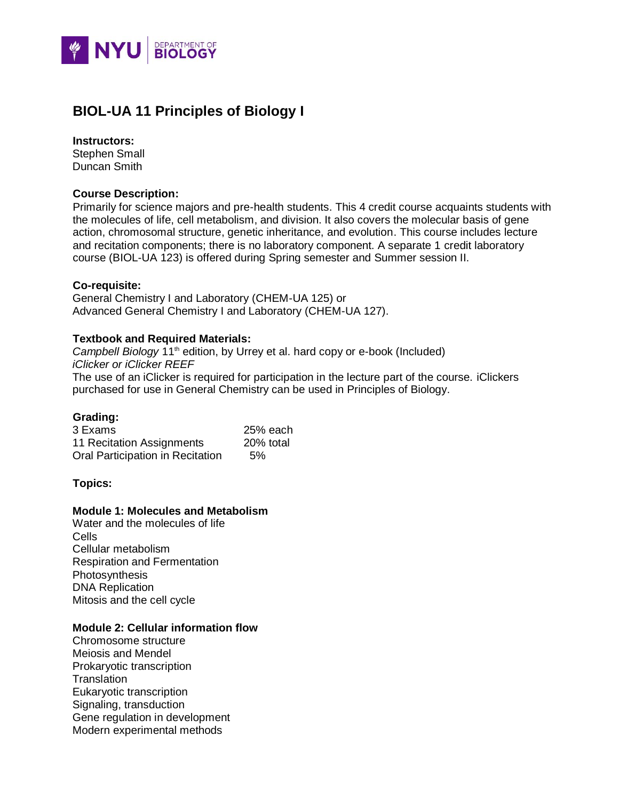

# **BIOL-UA 11 Principles of Biology I**

#### **Instructors:**

Stephen Small Duncan Smith

### **Course Description:**

Primarily for science majors and pre-health students. This 4 credit course acquaints students with the molecules of life, cell metabolism, and division. It also covers the molecular basis of gene action, chromosomal structure, genetic inheritance, and evolution. This course includes lecture and recitation components; there is no laboratory component. A separate 1 credit laboratory course (BIOL-UA 123) is offered during Spring semester and Summer session II.

## **Co-requisite:**

General Chemistry I and Laboratory (CHEM-UA 125) or Advanced General Chemistry I and Laboratory (CHEM-UA 127).

## **Textbook and Required Materials:**

*Campbell Biology* 11<sup>th</sup> edition, by Urrey et al. hard copy or e-book (Included) *iClicker or iClicker REEF* The use of an iClicker is required for participation in the lecture part of the course. iClickers purchased for use in General Chemistry can be used in Principles of Biology.

# **Grading:**

| 3 Exams                          | 25% each  |
|----------------------------------|-----------|
| 11 Recitation Assignments        | 20% total |
| Oral Participation in Recitation | 5%        |

#### **Topics:**

### **Module 1: Molecules and Metabolism**

Water and the molecules of life Cells Cellular metabolism Respiration and Fermentation Photosynthesis DNA Replication Mitosis and the cell cycle

# **Module 2: Cellular information flow**

Chromosome structure Meiosis and Mendel Prokaryotic transcription **Translation** Eukaryotic transcription Signaling, transduction Gene regulation in development Modern experimental methods